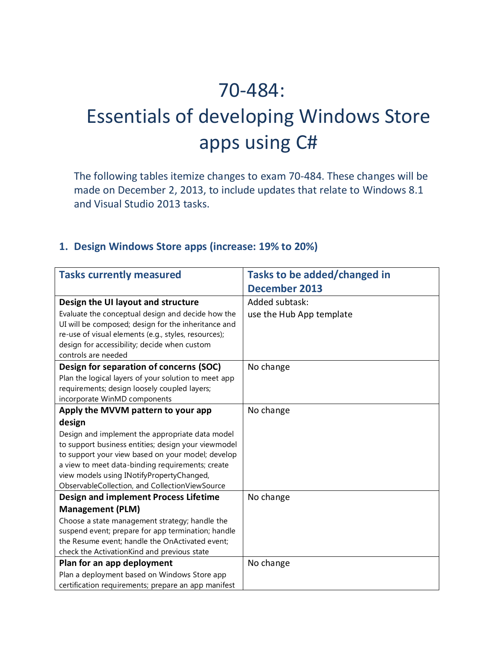## 70-484:

# Essentials of developing Windows Store apps using C#

The following tables itemize changes to exam 70-484. These changes will be made on December 2, 2013, to include updates that relate to Windows 8.1 and Visual Studio 2013 tasks.

#### **1. Design Windows Store apps (increase: 19% to 20%)**

| <b>Tasks currently measured</b>                                                             | Tasks to be added/changed in |
|---------------------------------------------------------------------------------------------|------------------------------|
|                                                                                             | <b>December 2013</b>         |
| Design the UI layout and structure                                                          | Added subtask:               |
| Evaluate the conceptual design and decide how the                                           | use the Hub App template     |
| UI will be composed; design for the inheritance and                                         |                              |
| re-use of visual elements (e.g., styles, resources);                                        |                              |
| design for accessibility; decide when custom                                                |                              |
| controls are needed                                                                         |                              |
| Design for separation of concerns (SOC)                                                     | No change                    |
| Plan the logical layers of your solution to meet app                                        |                              |
| requirements; design loosely coupled layers;                                                |                              |
| incorporate WinMD components                                                                |                              |
| Apply the MVVM pattern to your app                                                          | No change                    |
| design                                                                                      |                              |
| Design and implement the appropriate data model                                             |                              |
| to support business entities; design your viewmodel                                         |                              |
| to support your view based on your model; develop                                           |                              |
| a view to meet data-binding requirements; create                                            |                              |
| view models using INotifyPropertyChanged,<br>ObservableCollection, and CollectionViewSource |                              |
| <b>Design and implement Process Lifetime</b>                                                | No change                    |
|                                                                                             |                              |
| <b>Management (PLM)</b>                                                                     |                              |
| Choose a state management strategy; handle the                                              |                              |
| suspend event; prepare for app termination; handle                                          |                              |
| the Resume event; handle the OnActivated event;                                             |                              |
| check the ActivationKind and previous state                                                 |                              |
| Plan for an app deployment                                                                  | No change                    |
| Plan a deployment based on Windows Store app                                                |                              |
| certification requirements; prepare an app manifest                                         |                              |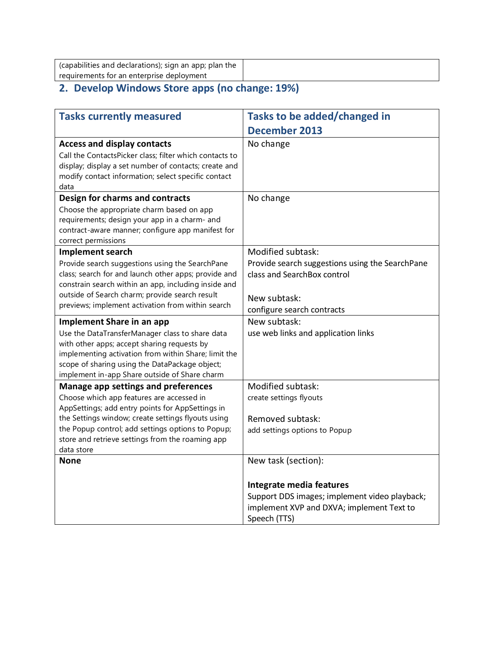| (capabilities and declarations); sign an app; plan the |  |
|--------------------------------------------------------|--|
| requirements for an enterprise deployment              |  |

#### **2. Develop Windows Store apps (no change: 19%)**

| <b>Tasks currently measured</b>                                                                                                                                                                                                                                                                                   | Tasks to be added/changed in                                                                                                                                  |
|-------------------------------------------------------------------------------------------------------------------------------------------------------------------------------------------------------------------------------------------------------------------------------------------------------------------|---------------------------------------------------------------------------------------------------------------------------------------------------------------|
|                                                                                                                                                                                                                                                                                                                   | <b>December 2013</b>                                                                                                                                          |
| <b>Access and display contacts</b><br>Call the ContactsPicker class; filter which contacts to<br>display; display a set number of contacts; create and<br>modify contact information; select specific contact<br>data                                                                                             | No change                                                                                                                                                     |
| Design for charms and contracts<br>Choose the appropriate charm based on app<br>requirements; design your app in a charm- and<br>contract-aware manner; configure app manifest for<br>correct permissions                                                                                                         | No change                                                                                                                                                     |
| Implement search<br>Provide search suggestions using the SearchPane<br>class; search for and launch other apps; provide and<br>constrain search within an app, including inside and<br>outside of Search charm; provide search result<br>previews; implement activation from within search                        | Modified subtask:<br>Provide search suggestions using the SearchPane<br>class and SearchBox control<br>New subtask:<br>configure search contracts             |
| <b>Implement Share in an app</b><br>Use the DataTransferManager class to share data<br>with other apps; accept sharing requests by<br>implementing activation from within Share; limit the<br>scope of sharing using the DataPackage object;<br>implement in-app Share outside of Share charm                     | New subtask:<br>use web links and application links                                                                                                           |
| Manage app settings and preferences<br>Choose which app features are accessed in<br>AppSettings; add entry points for AppSettings in<br>the Settings window; create settings flyouts using<br>the Popup control; add settings options to Popup;<br>store and retrieve settings from the roaming app<br>data store | Modified subtask:<br>create settings flyouts<br>Removed subtask:<br>add settings options to Popup                                                             |
| <b>None</b>                                                                                                                                                                                                                                                                                                       | New task (section):<br>Integrate media features<br>Support DDS images; implement video playback;<br>implement XVP and DXVA; implement Text to<br>Speech (TTS) |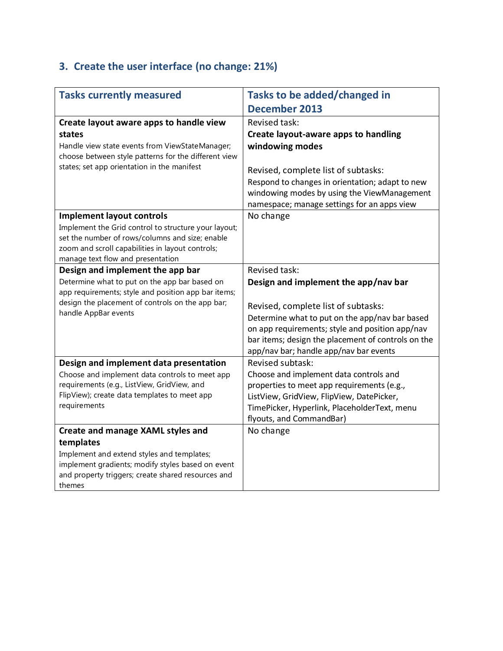## **3. Create the user interface (no change: 21%)**

| <b>Tasks currently measured</b>                                                                         | Tasks to be added/changed in                                                              |
|---------------------------------------------------------------------------------------------------------|-------------------------------------------------------------------------------------------|
|                                                                                                         | <b>December 2013</b>                                                                      |
| Create layout aware apps to handle view                                                                 | Revised task:                                                                             |
| states                                                                                                  | Create layout-aware apps to handling                                                      |
| Handle view state events from ViewStateManager;                                                         | windowing modes                                                                           |
| choose between style patterns for the different view                                                    |                                                                                           |
| states; set app orientation in the manifest                                                             | Revised, complete list of subtasks:                                                       |
|                                                                                                         | Respond to changes in orientation; adapt to new                                           |
|                                                                                                         | windowing modes by using the ViewManagement                                               |
|                                                                                                         | namespace; manage settings for an apps view                                               |
| <b>Implement layout controls</b>                                                                        | No change                                                                                 |
| Implement the Grid control to structure your layout;                                                    |                                                                                           |
| set the number of rows/columns and size; enable                                                         |                                                                                           |
| zoom and scroll capabilities in layout controls;                                                        |                                                                                           |
| manage text flow and presentation                                                                       |                                                                                           |
| Design and implement the app bar                                                                        | Revised task:                                                                             |
| Determine what to put on the app bar based on                                                           | Design and implement the app/nav bar                                                      |
| app requirements; style and position app bar items;<br>design the placement of controls on the app bar; |                                                                                           |
| handle AppBar events                                                                                    | Revised, complete list of subtasks:                                                       |
|                                                                                                         | Determine what to put on the app/nav bar based                                            |
|                                                                                                         | on app requirements; style and position app/nav                                           |
|                                                                                                         | bar items; design the placement of controls on the                                        |
|                                                                                                         | app/nav bar; handle app/nav bar events                                                    |
| Design and implement data presentation                                                                  | Revised subtask:                                                                          |
| Choose and implement data controls to meet app<br>requirements (e.g., ListView, GridView, and           | Choose and implement data controls and                                                    |
| FlipView); create data templates to meet app                                                            | properties to meet app requirements (e.g.,                                                |
| requirements                                                                                            | ListView, GridView, FlipView, DatePicker,<br>TimePicker, Hyperlink, PlaceholderText, menu |
|                                                                                                         | flyouts, and CommandBar)                                                                  |
| Create and manage XAML styles and                                                                       | No change                                                                                 |
| templates                                                                                               |                                                                                           |
| Implement and extend styles and templates;                                                              |                                                                                           |
| implement gradients; modify styles based on event                                                       |                                                                                           |
| and property triggers; create shared resources and                                                      |                                                                                           |
| themes                                                                                                  |                                                                                           |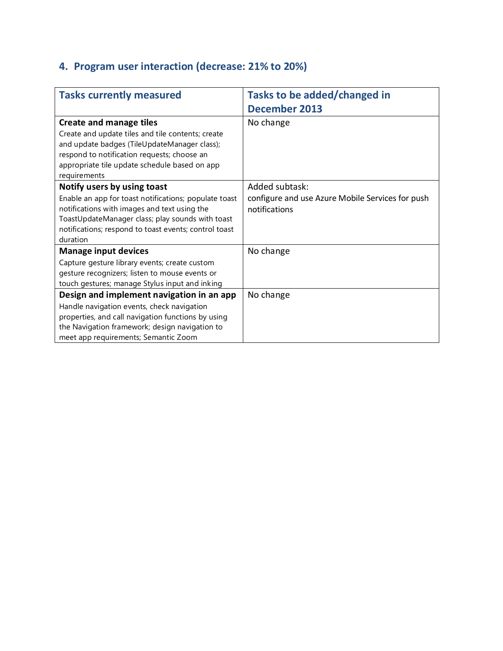### **4. Program user interaction (decrease: 21% to 20%)**

| <b>Tasks currently measured</b>                                                                                                                                                                                                | Tasks to be added/changed in                                      |
|--------------------------------------------------------------------------------------------------------------------------------------------------------------------------------------------------------------------------------|-------------------------------------------------------------------|
|                                                                                                                                                                                                                                | <b>December 2013</b>                                              |
| <b>Create and manage tiles</b>                                                                                                                                                                                                 | No change                                                         |
| Create and update tiles and tile contents; create<br>and update badges (TileUpdateManager class);<br>respond to notification requests; choose an<br>appropriate tile update schedule based on app<br>requirements              |                                                                   |
| Notify users by using toast                                                                                                                                                                                                    | Added subtask:                                                    |
| Enable an app for toast notifications; populate toast<br>notifications with images and text using the<br>ToastUpdateManager class; play sounds with toast<br>notifications; respond to toast events; control toast<br>duration | configure and use Azure Mobile Services for push<br>notifications |
| <b>Manage input devices</b>                                                                                                                                                                                                    | No change                                                         |
| Capture gesture library events; create custom<br>gesture recognizers; listen to mouse events or<br>touch gestures; manage Stylus input and inking                                                                              |                                                                   |
| Design and implement navigation in an app                                                                                                                                                                                      | No change                                                         |
| Handle navigation events, check navigation<br>properties, and call navigation functions by using<br>the Navigation framework; design navigation to<br>meet app requirements; Semantic Zoom                                     |                                                                   |